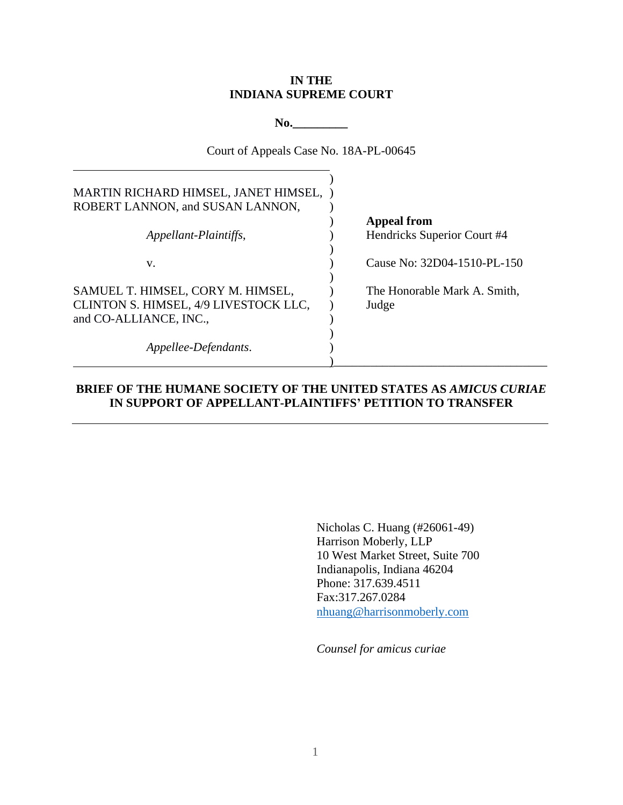## **IN THE INDIANA SUPREME COURT**

**No.\_\_\_\_\_\_\_\_\_**

Court of Appeals Case No. 18A-PL-00645

| MARTIN RICHARD HIMSEL, JANET HIMSEL,<br>ROBERT LANNON, and SUSAN LANNON, |                              |
|--------------------------------------------------------------------------|------------------------------|
|                                                                          | <b>Appeal from</b>           |
| Appellant-Plaintiffs,                                                    | Hendricks Superior Court #4  |
| V.                                                                       | Cause No: 32D04-1510-PL-150  |
| SAMUEL T. HIMSEL, CORY M. HIMSEL,                                        | The Honorable Mark A. Smith, |
| CLINTON S. HIMSEL, 4/9 LIVESTOCK LLC,                                    | Judge                        |
| and CO-ALLIANCE, INC.,                                                   |                              |
|                                                                          |                              |
| Appellee-Defendants.                                                     |                              |
|                                                                          |                              |

## **BRIEF OF THE HUMANE SOCIETY OF THE UNITED STATES AS** *AMICUS CURIAE* **IN SUPPORT OF APPELLANT-PLAINTIFFS' PETITION TO TRANSFER**

Nicholas C. Huang (#26061-49) Harrison Moberly, LLP 10 West Market Street, Suite 700 Indianapolis, Indiana 46204 Phone: 317.639.4511 Fax:317.267.0284 nhuang@harrisonmoberly.com

*Counsel for amicus curiae*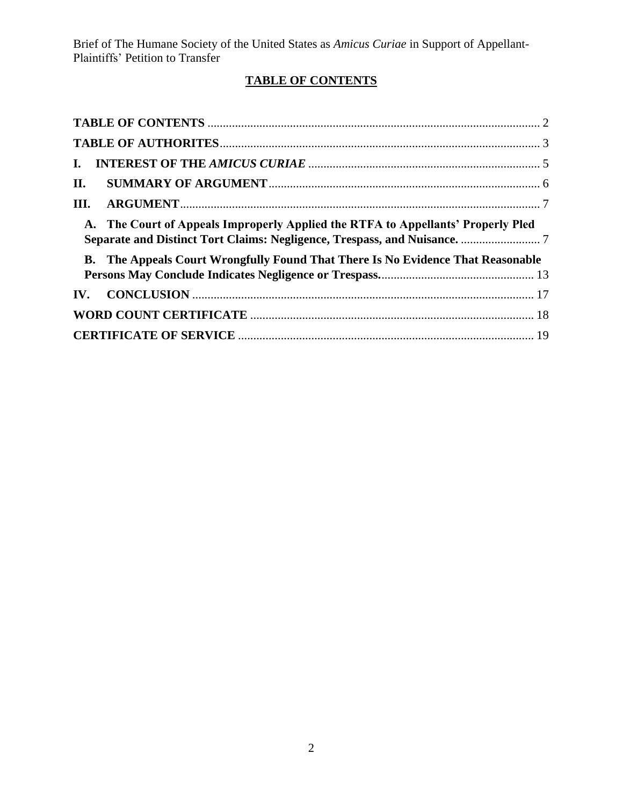# **TABLE OF CONTENTS**

<span id="page-1-0"></span>

| $\mathbf{L}$          |                                                                                  |  |
|-----------------------|----------------------------------------------------------------------------------|--|
| II.                   |                                                                                  |  |
| Ш.                    |                                                                                  |  |
|                       | A. The Court of Appeals Improperly Applied the RTFA to Appellants' Properly Pled |  |
|                       | B. The Appeals Court Wrongfully Found That There Is No Evidence That Reasonable  |  |
|                       |                                                                                  |  |
|                       |                                                                                  |  |
| $\mathbf{IV}_{\cdot}$ |                                                                                  |  |
|                       |                                                                                  |  |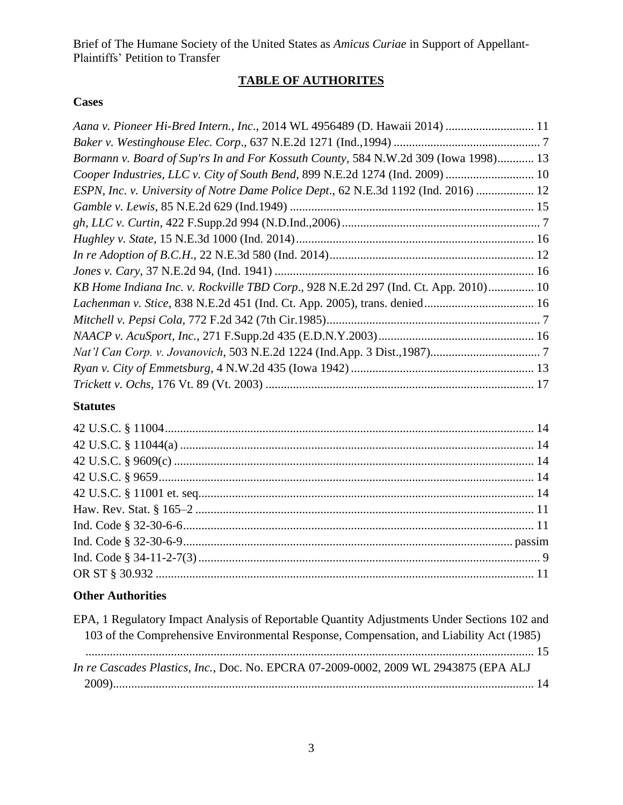# **TABLE OF AUTHORITES**

## <span id="page-2-0"></span>**Cases**

| Aana v. Pioneer Hi-Bred Intern., Inc., 2014 WL 4956489 (D. Hawaii 2014)  11         |  |
|-------------------------------------------------------------------------------------|--|
|                                                                                     |  |
| Bormann v. Board of Sup'rs In and For Kossuth County, 584 N.W.2d 309 (Iowa 1998) 13 |  |
| Cooper Industries, LLC v. City of South Bend, 899 N.E.2d 1274 (Ind. 2009)  10       |  |
| ESPN, Inc. v. University of Notre Dame Police Dept., 62 N.E.3d 1192 (Ind. 2016)  12 |  |
|                                                                                     |  |
|                                                                                     |  |
|                                                                                     |  |
|                                                                                     |  |
|                                                                                     |  |
| KB Home Indiana Inc. v. Rockville TBD Corp., 928 N.E.2d 297 (Ind. Ct. App. 2010) 10 |  |
|                                                                                     |  |
|                                                                                     |  |
|                                                                                     |  |
|                                                                                     |  |
|                                                                                     |  |
|                                                                                     |  |

# **Statutes**

# **Other Authorities**

| EPA, 1 Regulatory Impact Analysis of Reportable Quantity Adjustments Under Sections 102 and |
|---------------------------------------------------------------------------------------------|
| 103 of the Comprehensive Environmental Response, Compensation, and Liability Act (1985)     |
|                                                                                             |
| In re Cascades Plastics, Inc., Doc. No. EPCRA 07-2009-0002, 2009 WL 2943875 (EPA ALJ        |
|                                                                                             |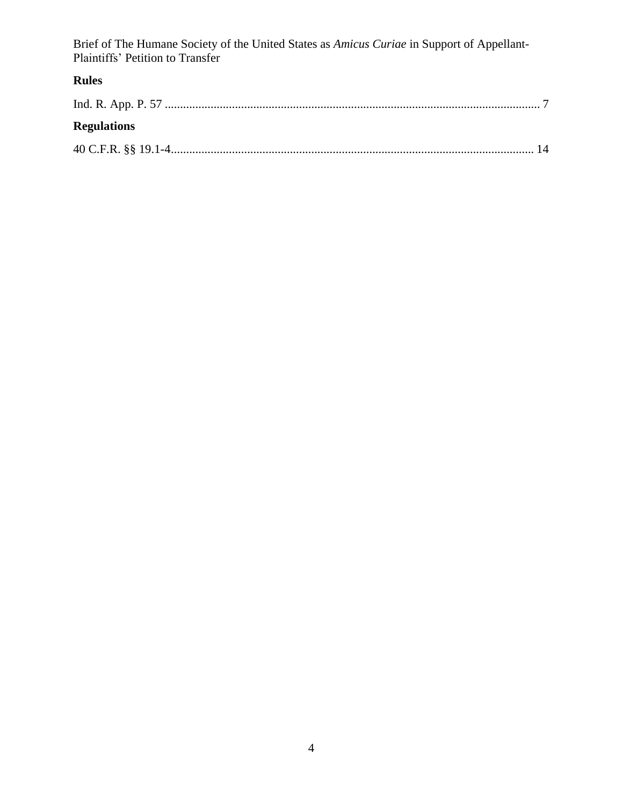# **Rules**

| <b>Regulations</b> |  |
|--------------------|--|
|                    |  |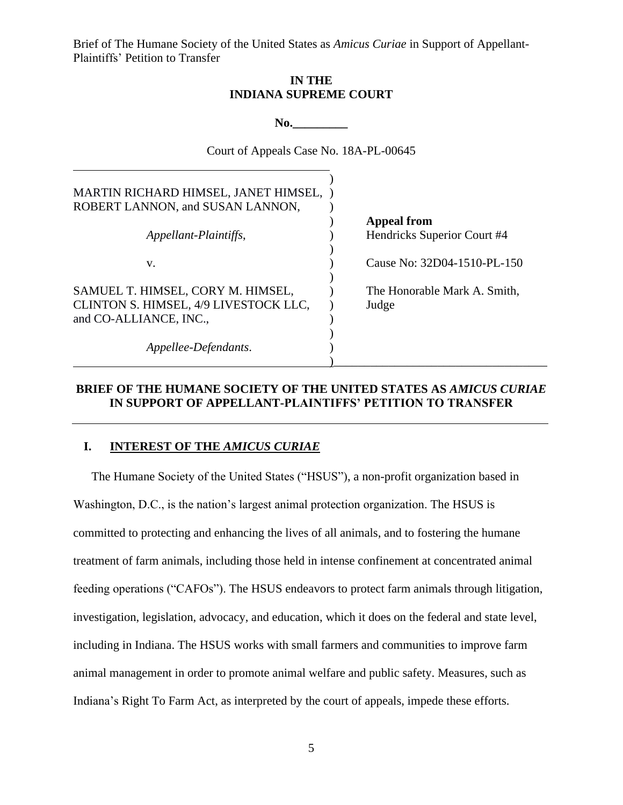### **IN THE INDIANA SUPREME COURT**

**No.\_\_\_\_\_\_\_\_\_**

Court of Appeals Case No. 18A-PL-00645

<span id="page-4-0"></span>

| MARTIN RICHARD HIMSEL, JANET HIMSEL,<br>ROBERT LANNON, and SUSAN LANNON,                             |                                       |
|------------------------------------------------------------------------------------------------------|---------------------------------------|
|                                                                                                      | <b>Appeal from</b>                    |
| Appellant-Plaintiffs,                                                                                | Hendricks Superior Court #4           |
| V.                                                                                                   | Cause No: 32D04-1510-PL-150           |
| SAMUEL T. HIMSEL, CORY M. HIMSEL,<br>CLINTON S. HIMSEL, 4/9 LIVESTOCK LLC,<br>and CO-ALLIANCE, INC., | The Honorable Mark A. Smith,<br>Judge |
| Appellee-Defendants.                                                                                 |                                       |

### **BRIEF OF THE HUMANE SOCIETY OF THE UNITED STATES AS** *AMICUS CURIAE* **IN SUPPORT OF APPELLANT-PLAINTIFFS' PETITION TO TRANSFER**

#### **I. INTEREST OF THE** *AMICUS CURIAE*

The Humane Society of the United States ("HSUS"), a non-profit organization based in Washington, D.C., is the nation's largest animal protection organization. The HSUS is committed to protecting and enhancing the lives of all animals, and to fostering the humane treatment of farm animals, including those held in intense confinement at concentrated animal feeding operations ("CAFOs"). The HSUS endeavors to protect farm animals through litigation, investigation, legislation, advocacy, and education, which it does on the federal and state level, including in Indiana. The HSUS works with small farmers and communities to improve farm animal management in order to promote animal welfare and public safety. Measures, such as Indiana's Right To Farm Act, as interpreted by the court of appeals, impede these efforts.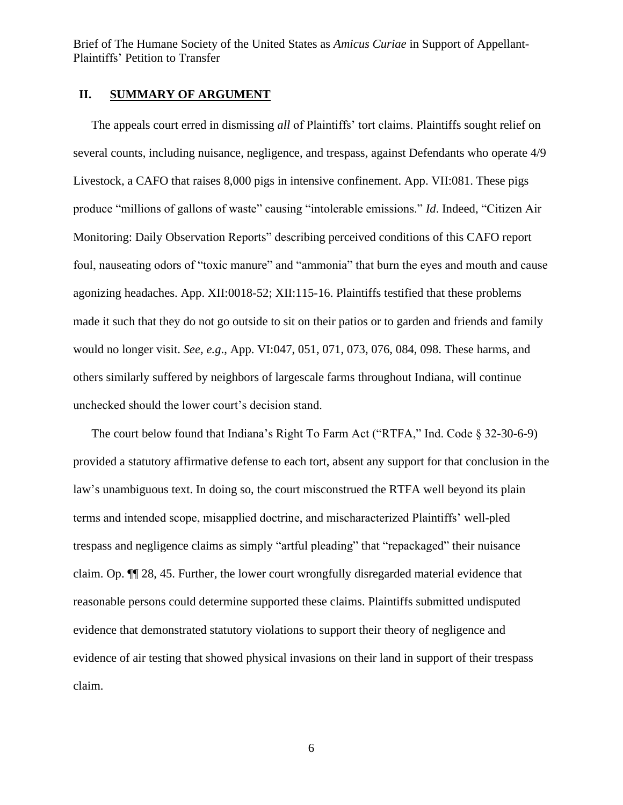#### <span id="page-5-0"></span>**II. SUMMARY OF ARGUMENT**

The appeals court erred in dismissing *all* of Plaintiffs' tort claims. Plaintiffs sought relief on several counts, including nuisance, negligence, and trespass, against Defendants who operate 4/9 Livestock, a CAFO that raises 8,000 pigs in intensive confinement. App. VII:081. These pigs produce "millions of gallons of waste" causing "intolerable emissions." *Id*. Indeed, "Citizen Air Monitoring: Daily Observation Reports" describing perceived conditions of this CAFO report foul, nauseating odors of "toxic manure" and "ammonia" that burn the eyes and mouth and cause agonizing headaches. App. XII:0018-52; XII:115-16. Plaintiffs testified that these problems made it such that they do not go outside to sit on their patios or to garden and friends and family would no longer visit. *See, e.g*., App. VI:047, 051, 071, 073, 076, 084, 098. These harms, and others similarly suffered by neighbors of largescale farms throughout Indiana, will continue unchecked should the lower court's decision stand.

The court below found that Indiana's Right To Farm Act ("RTFA," Ind. Code § 32-30-6-9) provided a statutory affirmative defense to each tort, absent any support for that conclusion in the law's unambiguous text. In doing so, the court misconstrued the RTFA well beyond its plain terms and intended scope, misapplied doctrine, and mischaracterized Plaintiffs' well-pled trespass and negligence claims as simply "artful pleading" that "repackaged" their nuisance claim. Op. ¶¶ 28, 45. Further, the lower court wrongfully disregarded material evidence that reasonable persons could determine supported these claims. Plaintiffs submitted undisputed evidence that demonstrated statutory violations to support their theory of negligence and evidence of air testing that showed physical invasions on their land in support of their trespass claim.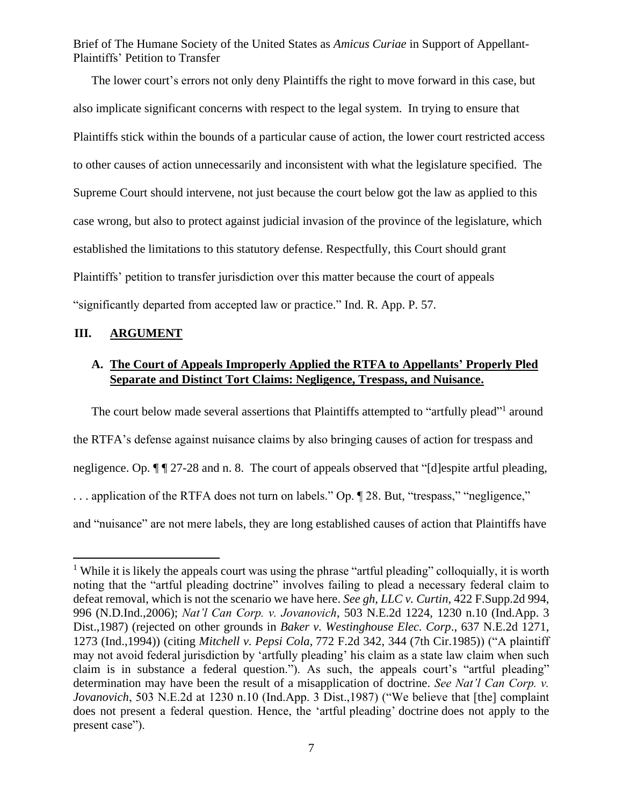The lower court's errors not only deny Plaintiffs the right to move forward in this case, but also implicate significant concerns with respect to the legal system. In trying to ensure that Plaintiffs stick within the bounds of a particular cause of action, the lower court restricted access to other causes of action unnecessarily and inconsistent with what the legislature specified. The Supreme Court should intervene, not just because the court below got the law as applied to this case wrong, but also to protect against judicial invasion of the province of the legislature, which established the limitations to this statutory defense. Respectfully, this Court should grant Plaintiffs' petition to transfer jurisdiction over this matter because the court of appeals "significantly departed from accepted law or practice." Ind. R. App. P. 57.

## <span id="page-6-0"></span>**III. ARGUMENT**

## <span id="page-6-1"></span>**A. The Court of Appeals Improperly Applied the RTFA to Appellants' Properly Pled Separate and Distinct Tort Claims: Negligence, Trespass, and Nuisance.**

The court below made several assertions that Plaintiffs attempted to "artfully plead"<sup>1</sup> around the RTFA's defense against nuisance claims by also bringing causes of action for trespass and negligence. Op.  $\P$   $\P$  27-28 and n. 8. The court of appeals observed that "[d]espite artful pleading, . . . application of the RTFA does not turn on labels." Op. ¶ 28. But, "trespass," "negligence," and "nuisance" are not mere labels, they are long established causes of action that Plaintiffs have

<sup>&</sup>lt;sup>1</sup> While it is likely the appeals court was using the phrase "artful pleading" colloquially, it is worth noting that the "artful pleading doctrine" involves failing to plead a necessary federal claim to defeat removal, which is not the scenario we have here. *See gh, LLC v. Curtin*, 422 F.Supp.2d 994, 996 (N.D.Ind.,2006); *Nat'l Can Corp. v. Jovanovich*, 503 N.E.2d 1224, 1230 n.10 (Ind.App. 3 Dist.,1987) (rejected on other grounds in *Baker v. Westinghouse Elec. Corp*., 637 N.E.2d 1271, 1273 (Ind.,1994)) (citing *Mitchell v. Pepsi Cola,* 772 F.2d 342, 344 (7th Cir.1985)) ("A plaintiff may not avoid federal jurisdiction by 'artfully pleading' his claim as a state law claim when such claim is in substance a federal question."). As such, the appeals court's "artful pleading" determination may have been the result of a misapplication of doctrine. *See Nat'l Can Corp. v. Jovanovich*, 503 N.E.2d at 1230 n.10 (Ind.App. 3 Dist.,1987) ("We believe that [the] complaint does not present a federal question. Hence, the 'artful pleading' doctrine does not apply to the present case").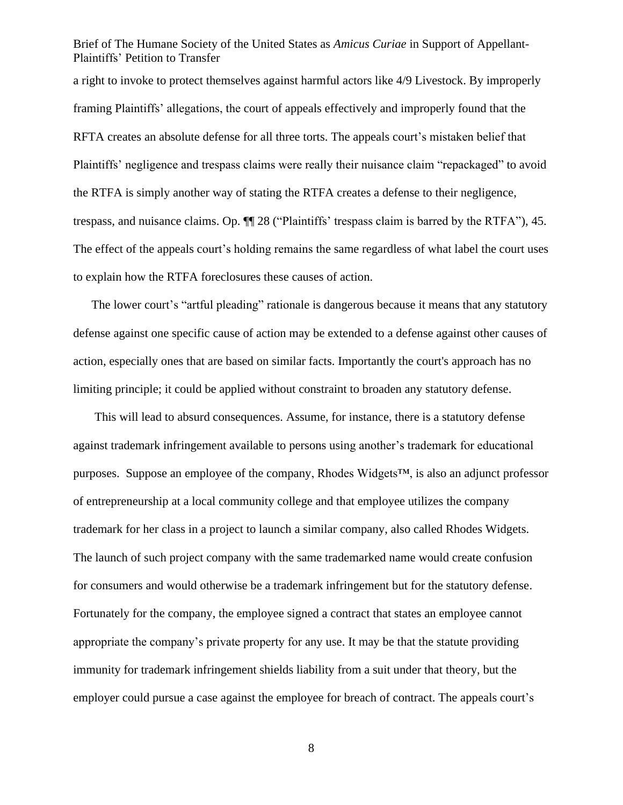a right to invoke to protect themselves against harmful actors like 4/9 Livestock. By improperly framing Plaintiffs' allegations, the court of appeals effectively and improperly found that the RFTA creates an absolute defense for all three torts. The appeals court's mistaken belief that Plaintiffs' negligence and trespass claims were really their nuisance claim "repackaged" to avoid the RTFA is simply another way of stating the RTFA creates a defense to their negligence, trespass, and nuisance claims. Op. ¶¶ 28 ("Plaintiffs' trespass claim is barred by the RTFA"), 45. The effect of the appeals court's holding remains the same regardless of what label the court uses to explain how the RTFA foreclosures these causes of action.

The lower court's "artful pleading" rationale is dangerous because it means that any statutory defense against one specific cause of action may be extended to a defense against other causes of action, especially ones that are based on similar facts. Importantly the court's approach has no limiting principle; it could be applied without constraint to broaden any statutory defense.

This will lead to absurd consequences. Assume, for instance, there is a statutory defense against trademark infringement available to persons using another's trademark for educational purposes. Suppose an employee of the company, Rhodes Widgets™, is also an adjunct professor of entrepreneurship at a local community college and that employee utilizes the company trademark for her class in a project to launch a similar company, also called Rhodes Widgets. The launch of such project company with the same trademarked name would create confusion for consumers and would otherwise be a trademark infringement but for the statutory defense. Fortunately for the company, the employee signed a contract that states an employee cannot appropriate the company's private property for any use. It may be that the statute providing immunity for trademark infringement shields liability from a suit under that theory, but the employer could pursue a case against the employee for breach of contract. The appeals court's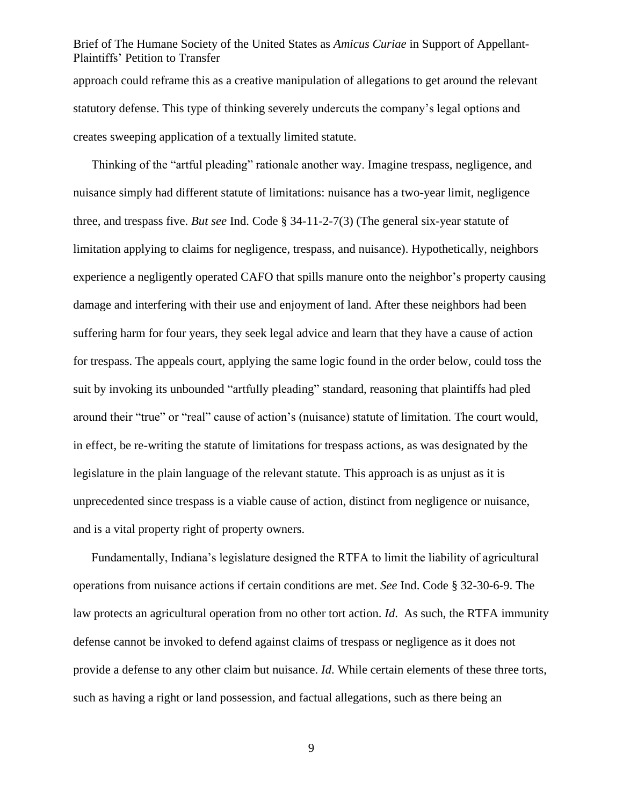approach could reframe this as a creative manipulation of allegations to get around the relevant statutory defense. This type of thinking severely undercuts the company's legal options and creates sweeping application of a textually limited statute.

Thinking of the "artful pleading" rationale another way. Imagine trespass, negligence, and nuisance simply had different statute of limitations: nuisance has a two-year limit, negligence three, and trespass five. *But see* Ind. Code § 34-11-2-7(3) (The general six-year statute of limitation applying to claims for negligence, trespass, and nuisance). Hypothetically, neighbors experience a negligently operated CAFO that spills manure onto the neighbor's property causing damage and interfering with their use and enjoyment of land. After these neighbors had been suffering harm for four years, they seek legal advice and learn that they have a cause of action for trespass. The appeals court, applying the same logic found in the order below, could toss the suit by invoking its unbounded "artfully pleading" standard, reasoning that plaintiffs had pled around their "true" or "real" cause of action's (nuisance) statute of limitation. The court would, in effect, be re-writing the statute of limitations for trespass actions, as was designated by the legislature in the plain language of the relevant statute. This approach is as unjust as it is unprecedented since trespass is a viable cause of action, distinct from negligence or nuisance, and is a vital property right of property owners.

Fundamentally, Indiana's legislature designed the RTFA to limit the liability of agricultural operations from nuisance actions if certain conditions are met. *See* Ind. Code § 32-30-6-9. The law protects an agricultural operation from no other tort action. *Id*. As such, the RTFA immunity defense cannot be invoked to defend against claims of trespass or negligence as it does not provide a defense to any other claim but nuisance. *Id*. While certain elements of these three torts, such as having a right or land possession, and factual allegations, such as there being an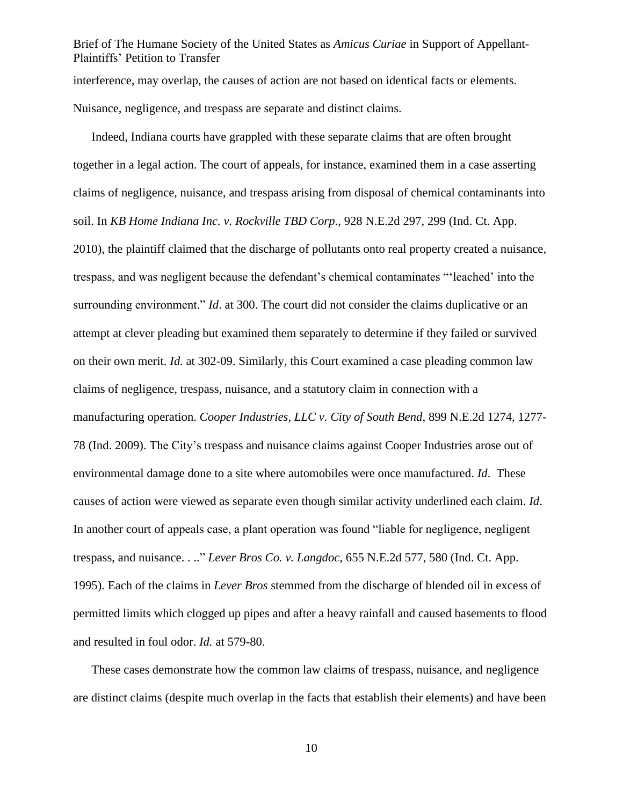Brief of The Humane Society of the United States as *Amicus Curiae* in Support of Appellant-Plaintiffs' Petition to Transfer interference, may overlap, the causes of action are not based on identical facts or elements. Nuisance, negligence, and trespass are separate and distinct claims.

Indeed, Indiana courts have grappled with these separate claims that are often brought together in a legal action. The court of appeals, for instance, examined them in a case asserting claims of negligence, nuisance, and trespass arising from disposal of chemical contaminants into soil. In *KB Home Indiana Inc. v. Rockville TBD Corp*., 928 N.E.2d 297, 299 (Ind. Ct. App. 2010), the plaintiff claimed that the discharge of pollutants onto real property created a nuisance, trespass, and was negligent because the defendant's chemical contaminates "'leached' into the surrounding environment." *Id.* at 300. The court did not consider the claims duplicative or an attempt at clever pleading but examined them separately to determine if they failed or survived on their own merit. *Id.* at 302-09. Similarly, this Court examined a case pleading common law claims of negligence, trespass, nuisance, and a statutory claim in connection with a manufacturing operation. *Cooper Industries, LLC v. City of South Bend*, 899 N.E.2d 1274, 1277- 78 (Ind. 2009). The City's trespass and nuisance claims against Cooper Industries arose out of environmental damage done to a site where automobiles were once manufactured. *Id*. These causes of action were viewed as separate even though similar activity underlined each claim. *Id*. In another court of appeals case, a plant operation was found "liable for negligence, negligent trespass, and nuisance. . .." *Lever Bros Co. v. Langdoc*, 655 N.E.2d 577, 580 (Ind. Ct. App. 1995). Each of the claims in *Lever Bros* stemmed from the discharge of blended oil in excess of permitted limits which clogged up pipes and after a heavy rainfall and caused basements to flood and resulted in foul odor. *Id.* at 579-80.

These cases demonstrate how the common law claims of trespass, nuisance, and negligence are distinct claims (despite much overlap in the facts that establish their elements) and have been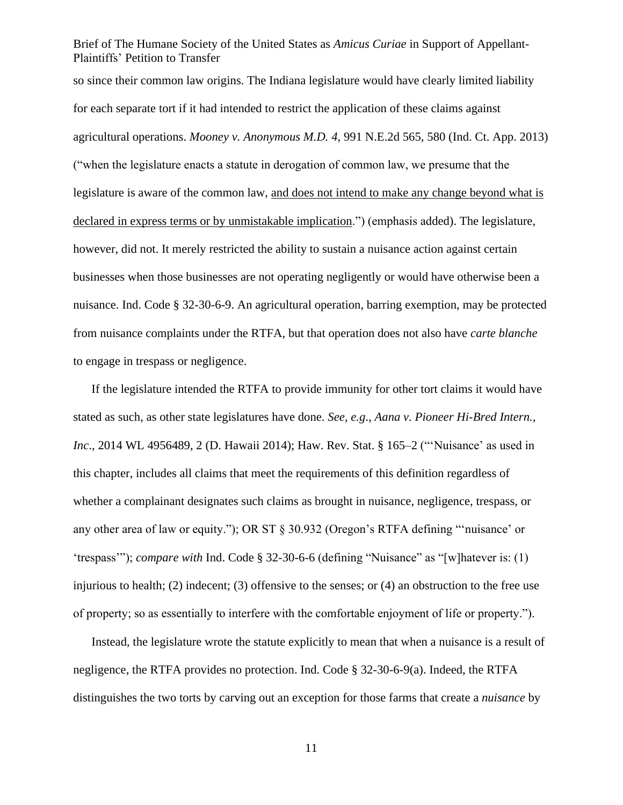so since their common law origins. The Indiana legislature would have clearly limited liability for each separate tort if it had intended to restrict the application of these claims against agricultural operations. *Mooney v. Anonymous M.D. 4*, 991 N.E.2d 565, 580 (Ind. Ct. App. 2013) ("when the legislature enacts a statute in derogation of common law, we presume that the legislature is aware of the common law, and does not intend to make any change beyond what is declared in express terms or by unmistakable implication.") (emphasis added). The legislature, however, did not. It merely restricted the ability to sustain a nuisance action against certain businesses when those businesses are not operating negligently or would have otherwise been a nuisance. Ind. Code § 32-30-6-9. An agricultural operation, barring exemption, may be protected from nuisance complaints under the RTFA, but that operation does not also have *carte blanche* to engage in trespass or negligence.

If the legislature intended the RTFA to provide immunity for other tort claims it would have stated as such, as other state legislatures have done. *See, e.g*., *Aana v. Pioneer Hi-Bred Intern., Inc*., 2014 WL 4956489, 2 (D. Hawaii 2014); Haw. Rev. Stat. § 165–2 ("'Nuisance' as used in this chapter, includes all claims that meet the requirements of this definition regardless of whether a complainant designates such claims as brought in nuisance, negligence, trespass, or any other area of law or equity."); OR ST § 30.932 (Oregon's RTFA defining "'nuisance' or 'trespass'"); *compare with* Ind. Code § 32-30-6-6 (defining "Nuisance" as "[w]hatever is: (1) injurious to health; (2) indecent; (3) offensive to the senses; or (4) an obstruction to the free use of property; so as essentially to interfere with the comfortable enjoyment of life or property.").

Instead, the legislature wrote the statute explicitly to mean that when a nuisance is a result of negligence, the RTFA provides no protection. Ind. Code § 32-30-6-9(a). Indeed, the RTFA distinguishes the two torts by carving out an exception for those farms that create a *nuisance* by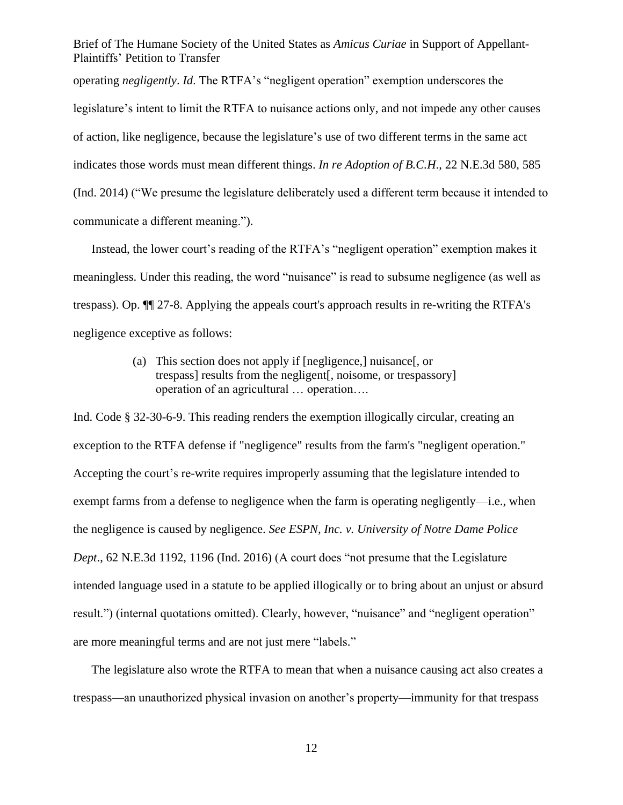operating *negligently*. *Id*. The RTFA's "negligent operation" exemption underscores the legislature's intent to limit the RTFA to nuisance actions only, and not impede any other causes of action, like negligence, because the legislature's use of two different terms in the same act indicates those words must mean different things. *In re Adoption of B.C.H*., 22 N.E.3d 580, 585 (Ind. 2014) ("We presume the legislature deliberately used a different term because it intended to communicate a different meaning.").

Instead, the lower court's reading of the RTFA's "negligent operation" exemption makes it meaningless. Under this reading, the word "nuisance" is read to subsume negligence (as well as trespass). Op. ¶¶ 27-8. Applying the appeals court's approach results in re-writing the RTFA's negligence exceptive as follows:

> (a) This section does not apply if [negligence,] nuisance[, or trespass] results from the negligent[, noisome, or trespassory] operation of an agricultural … operation….

Ind. Code § 32-30-6-9. This reading renders the exemption illogically circular, creating an exception to the RTFA defense if "negligence" results from the farm's "negligent operation." Accepting the court's re-write requires improperly assuming that the legislature intended to exempt farms from a defense to negligence when the farm is operating negligently—i.e., when the negligence is caused by negligence. *See ESPN, Inc. v. University of Notre Dame Police Dept*., 62 N.E.3d 1192, 1196 (Ind. 2016) (A court does "not presume that the Legislature intended language used in a statute to be applied illogically or to bring about an unjust or absurd result.") (internal quotations omitted). Clearly, however, "nuisance" and "negligent operation" are more meaningful terms and are not just mere "labels."

The legislature also wrote the RTFA to mean that when a nuisance causing act also creates a trespass—an unauthorized physical invasion on another's property—immunity for that trespass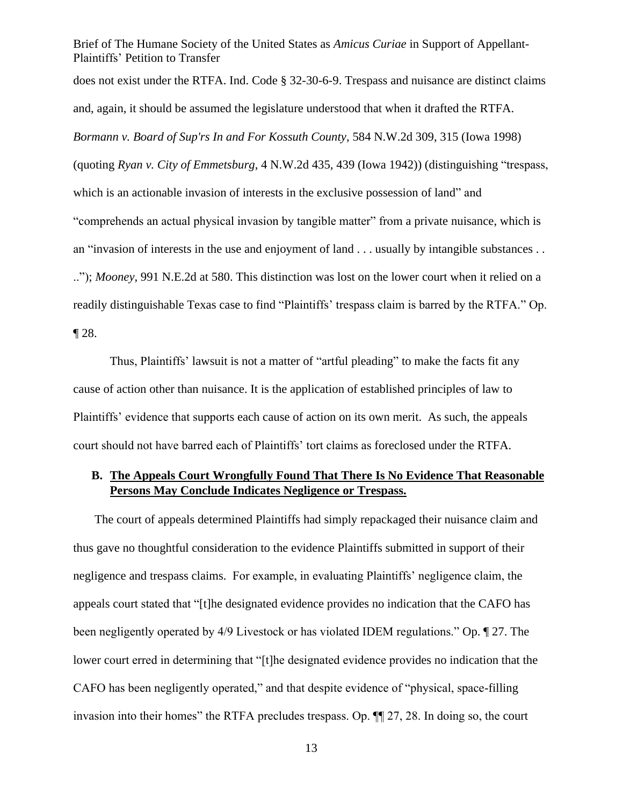Brief of The Humane Society of the United States as *Amicus Curiae* in Support of Appellant-Plaintiffs' Petition to Transfer does not exist under the RTFA. Ind. Code § 32-30-6-9. Trespass and nuisance are distinct claims and, again, it should be assumed the legislature understood that when it drafted the RTFA. *Bormann v. Board of Sup'rs In and For Kossuth County*, 584 N.W.2d 309, 315 (Iowa 1998) (quoting *Ryan v. City of Emmetsburg*, 4 N.W.2d 435, 439 (Iowa 1942)) (distinguishing "trespass, which is an actionable invasion of interests in the exclusive possession of land" and "comprehends an actual physical invasion by tangible matter" from a private nuisance, which is an "invasion of interests in the use and enjoyment of land . . . usually by intangible substances . . .."); *Mooney*, 991 N.E.2d at 580. This distinction was lost on the lower court when it relied on a readily distinguishable Texas case to find "Plaintiffs' trespass claim is barred by the RTFA." Op. ¶ 28.

Thus, Plaintiffs' lawsuit is not a matter of "artful pleading" to make the facts fit any cause of action other than nuisance. It is the application of established principles of law to Plaintiffs' evidence that supports each cause of action on its own merit. As such, the appeals court should not have barred each of Plaintiffs' tort claims as foreclosed under the RTFA.

## <span id="page-12-0"></span>**B. The Appeals Court Wrongfully Found That There Is No Evidence That Reasonable Persons May Conclude Indicates Negligence or Trespass.**

The court of appeals determined Plaintiffs had simply repackaged their nuisance claim and thus gave no thoughtful consideration to the evidence Plaintiffs submitted in support of their negligence and trespass claims. For example, in evaluating Plaintiffs' negligence claim, the appeals court stated that "[t]he designated evidence provides no indication that the CAFO has been negligently operated by 4/9 Livestock or has violated IDEM regulations." Op. ¶ 27. The lower court erred in determining that "[t]he designated evidence provides no indication that the CAFO has been negligently operated," and that despite evidence of "physical, space-filling invasion into their homes" the RTFA precludes trespass. Op. ¶¶ 27, 28. In doing so, the court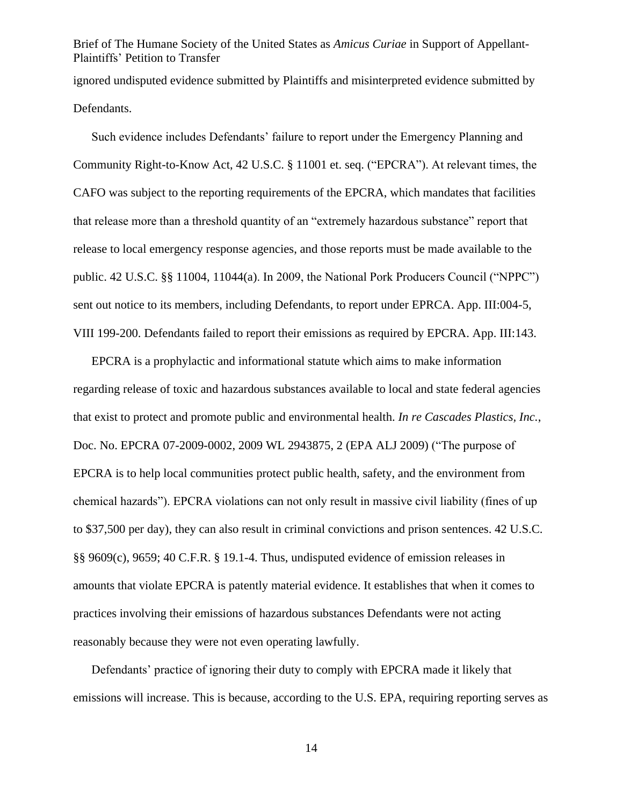Brief of The Humane Society of the United States as *Amicus Curiae* in Support of Appellant-Plaintiffs' Petition to Transfer ignored undisputed evidence submitted by Plaintiffs and misinterpreted evidence submitted by

Defendants.

Such evidence includes Defendants' failure to report under the Emergency Planning and Community Right-to-Know Act, 42 U.S.C. § 11001 et. seq. ("EPCRA"). At relevant times, the CAFO was subject to the reporting requirements of the EPCRA, which mandates that facilities that release more than a threshold quantity of an "extremely hazardous substance" report that release to local emergency response agencies, and those reports must be made available to the public. 42 U.S.C. §§ 11004, 11044(a). In 2009, the National Pork Producers Council ("NPPC") sent out notice to its members, including Defendants, to report under EPRCA. App. III:004-5, VIII 199-200. Defendants failed to report their emissions as required by EPCRA. App. III:143.

EPCRA is a prophylactic and informational statute which aims to make information regarding release of toxic and hazardous substances available to local and state federal agencies that exist to protect and promote public and environmental health. *In re Cascades Plastics, Inc.*, Doc. No. EPCRA 07-2009-0002, 2009 WL 2943875, 2 (EPA ALJ 2009) ("The purpose of EPCRA is to help local communities protect public health, safety, and the environment from chemical hazards"). EPCRA violations can not only result in massive civil liability (fines of up to \$37,500 per day), they can also result in criminal convictions and prison sentences. 42 U.S.C. §§ 9609(c), 9659; 40 C.F.R. § 19.1-4. Thus, undisputed evidence of emission releases in amounts that violate EPCRA is patently material evidence. It establishes that when it comes to practices involving their emissions of hazardous substances Defendants were not acting reasonably because they were not even operating lawfully.

Defendants' practice of ignoring their duty to comply with EPCRA made it likely that emissions will increase. This is because, according to the U.S. EPA, requiring reporting serves as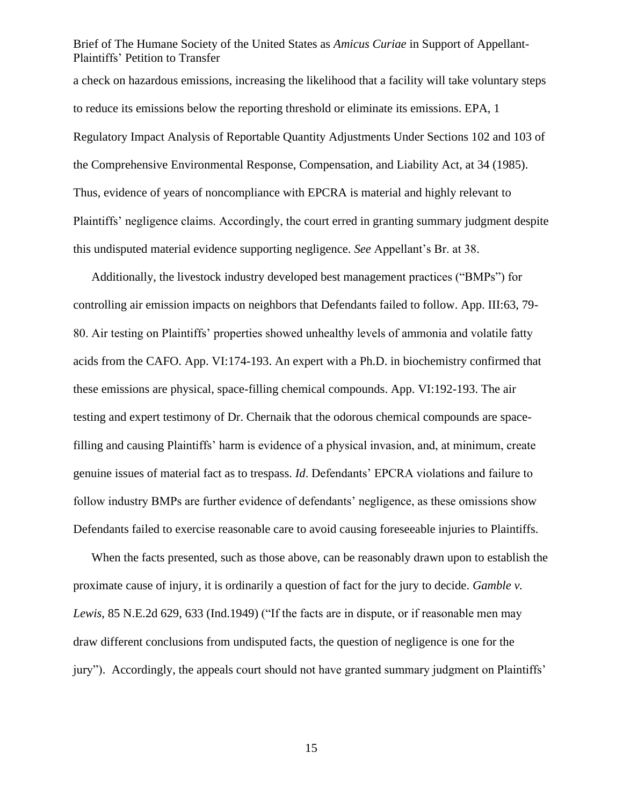a check on hazardous emissions, increasing the likelihood that a facility will take voluntary steps to reduce its emissions below the reporting threshold or eliminate its emissions. EPA, 1 Regulatory Impact Analysis of Reportable Quantity Adjustments Under Sections 102 and 103 of the Comprehensive Environmental Response, Compensation, and Liability Act, at 34 (1985). Thus, evidence of years of noncompliance with EPCRA is material and highly relevant to Plaintiffs' negligence claims. Accordingly, the court erred in granting summary judgment despite this undisputed material evidence supporting negligence. *See* Appellant's Br. at 38.

Additionally, the livestock industry developed best management practices ("BMPs") for controlling air emission impacts on neighbors that Defendants failed to follow. App. III:63, 79- 80. Air testing on Plaintiffs' properties showed unhealthy levels of ammonia and volatile fatty acids from the CAFO. App. VI:174-193. An expert with a Ph.D. in biochemistry confirmed that these emissions are physical, space-filling chemical compounds. App. VI:192-193. The air testing and expert testimony of Dr. Chernaik that the odorous chemical compounds are spacefilling and causing Plaintiffs' harm is evidence of a physical invasion, and, at minimum, create genuine issues of material fact as to trespass. *Id*. Defendants' EPCRA violations and failure to follow industry BMPs are further evidence of defendants' negligence, as these omissions show Defendants failed to exercise reasonable care to avoid causing foreseeable injuries to Plaintiffs.

When the facts presented, such as those above, can be reasonably drawn upon to establish the proximate cause of injury, it is ordinarily a question of fact for the jury to decide. *Gamble v. Lewis*, 85 N.E.2d 629, 633 (Ind.1949) ("If the facts are in dispute, or if reasonable men may draw different conclusions from undisputed facts, the question of negligence is one for the jury"). Accordingly, the appeals court should not have granted summary judgment on Plaintiffs'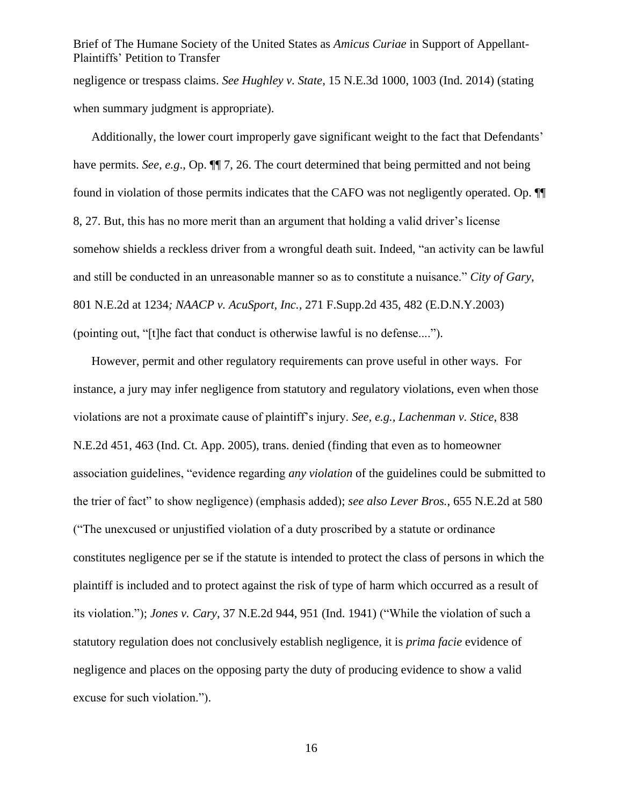Brief of The Humane Society of the United States as *Amicus Curiae* in Support of Appellant-Plaintiffs' Petition to Transfer negligence or trespass claims. *See Hughley v. State*, 15 N.E.3d 1000, 1003 (Ind. 2014) (stating when summary judgment is appropriate).

Additionally, the lower court improperly gave significant weight to the fact that Defendants' have permits. *See, e.g.*, Op.  $\P$  7, 26. The court determined that being permitted and not being found in violation of those permits indicates that the CAFO was not negligently operated. Op. ¶¶ 8, 27. But, this has no more merit than an argument that holding a valid driver's license somehow shields a reckless driver from a wrongful death suit. Indeed, "an activity can be lawful and still be conducted in an unreasonable manner so as to constitute a nuisance." *City of Gary*, 801 N.E.2d at 1234*; NAACP v. AcuSport, Inc.*, 271 F.Supp.2d 435, 482 (E.D.N.Y.2003) (pointing out, "[t]he fact that conduct is otherwise lawful is no defense....").

However, permit and other regulatory requirements can prove useful in other ways. For instance, a jury may infer negligence from statutory and regulatory violations, even when those violations are not a proximate cause of plaintiff's injury. *See, e.g., Lachenman v. Stice*, 838 N.E.2d 451, 463 (Ind. Ct. App. 2005), trans. denied (finding that even as to homeowner association guidelines, "evidence regarding *any violation* of the guidelines could be submitted to the trier of fact" to show negligence) (emphasis added); *see also Lever Bros.*, 655 N.E.2d at 580 ("The unexcused or unjustified violation of a duty proscribed by a statute or ordinance constitutes negligence per se if the statute is intended to protect the class of persons in which the plaintiff is included and to protect against the risk of type of harm which occurred as a result of its violation."); *Jones v. Cary*, 37 N.E.2d 944, 951 (Ind. 1941) ("While the violation of such a statutory regulation does not conclusively establish negligence, it is *prima facie* evidence of negligence and places on the opposing party the duty of producing evidence to show a valid excuse for such violation.").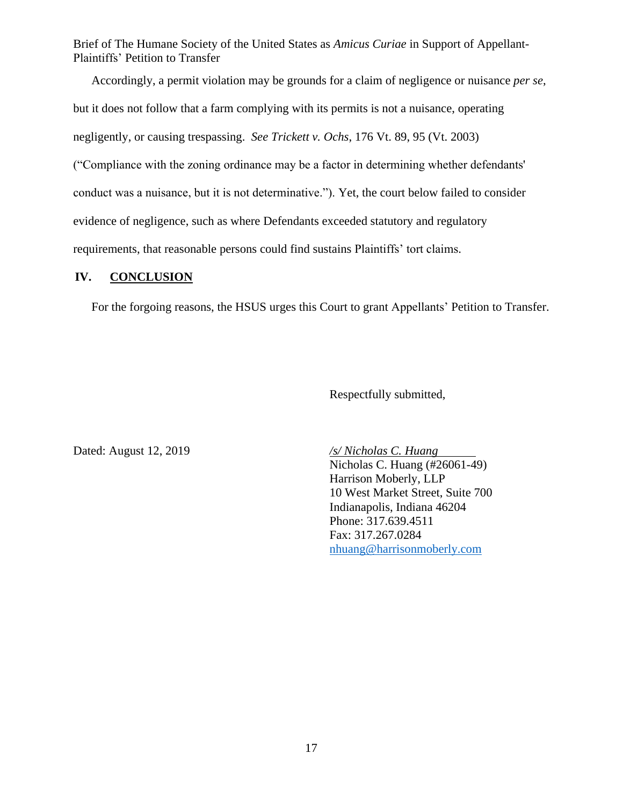Accordingly, a permit violation may be grounds for a claim of negligence or nuisance *per se*, but it does not follow that a farm complying with its permits is not a nuisance, operating negligently, or causing trespassing. *See Trickett v. Ochs*, 176 Vt. 89, 95 (Vt. 2003) ("Compliance with the zoning ordinance may be a factor in determining whether defendants' conduct was a nuisance, but it is not determinative."). Yet, the court below failed to consider evidence of negligence, such as where Defendants exceeded statutory and regulatory requirements, that reasonable persons could find sustains Plaintiffs' tort claims.

### <span id="page-16-0"></span>**IV. CONCLUSION**

For the forgoing reasons, the HSUS urges this Court to grant Appellants' Petition to Transfer.

Respectfully submitted,

Dated: August 12, 2019 */s/ Nicholas C. Huang*

Nicholas C. Huang (#26061-49) Harrison Moberly, LLP 10 West Market Street, Suite 700 Indianapolis, Indiana 46204 Phone: 317.639.4511 Fax: 317.267.0284 nhuang@harrisonmoberly.com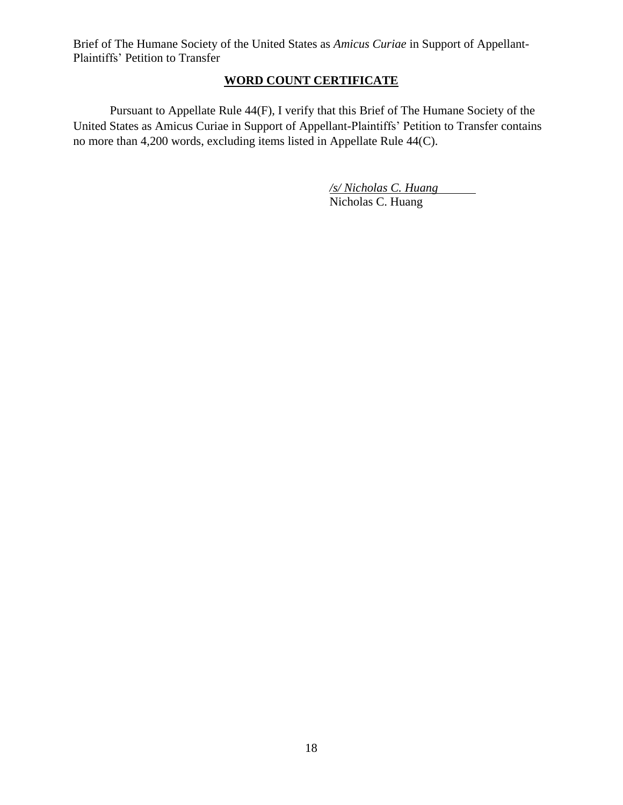## **WORD COUNT CERTIFICATE**

<span id="page-17-0"></span>Pursuant to Appellate Rule 44(F), I verify that this Brief of The Humane Society of the United States as Amicus Curiae in Support of Appellant-Plaintiffs' Petition to Transfer contains no more than 4,200 words, excluding items listed in Appellate Rule 44(C).

> */s/ Nicholas C. Huang*  Nicholas C. Huang